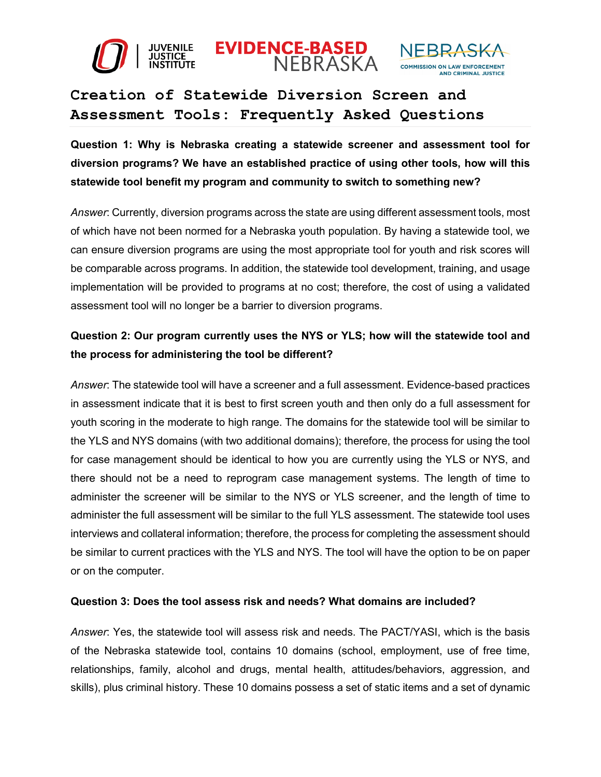





# **Creation of Statewide Diversion Screen and Assessment Tools: Frequently Asked Questions**

**Question 1: Why is Nebraska creating a statewide screener and assessment tool for diversion programs? We have an established practice of using other tools, how will this statewide tool benefit my program and community to switch to something new?**

*Answer*: Currently, diversion programs across the state are using different assessment tools, most of which have not been normed for a Nebraska youth population. By having a statewide tool, we can ensure diversion programs are using the most appropriate tool for youth and risk scores will be comparable across programs. In addition, the statewide tool development, training, and usage implementation will be provided to programs at no cost; therefore, the cost of using a validated assessment tool will no longer be a barrier to diversion programs.

### **Question 2: Our program currently uses the NYS or YLS; how will the statewide tool and the process for administering the tool be different?**

*Answer*: The statewide tool will have a screener and a full assessment. Evidence-based practices in assessment indicate that it is best to first screen youth and then only do a full assessment for youth scoring in the moderate to high range. The domains for the statewide tool will be similar to the YLS and NYS domains (with two additional domains); therefore, the process for using the tool for case management should be identical to how you are currently using the YLS or NYS, and there should not be a need to reprogram case management systems. The length of time to administer the screener will be similar to the NYS or YLS screener, and the length of time to administer the full assessment will be similar to the full YLS assessment. The statewide tool uses interviews and collateral information; therefore, the process for completing the assessment should be similar to current practices with the YLS and NYS. The tool will have the option to be on paper or on the computer.

#### **Question 3: Does the tool assess risk and needs? What domains are included?**

*Answer*: Yes, the statewide tool will assess risk and needs. The PACT/YASI, which is the basis of the Nebraska statewide tool, contains 10 domains (school, employment, use of free time, relationships, family, alcohol and drugs, mental health, attitudes/behaviors, aggression, and skills), plus criminal history. These 10 domains possess a set of static items and a set of dynamic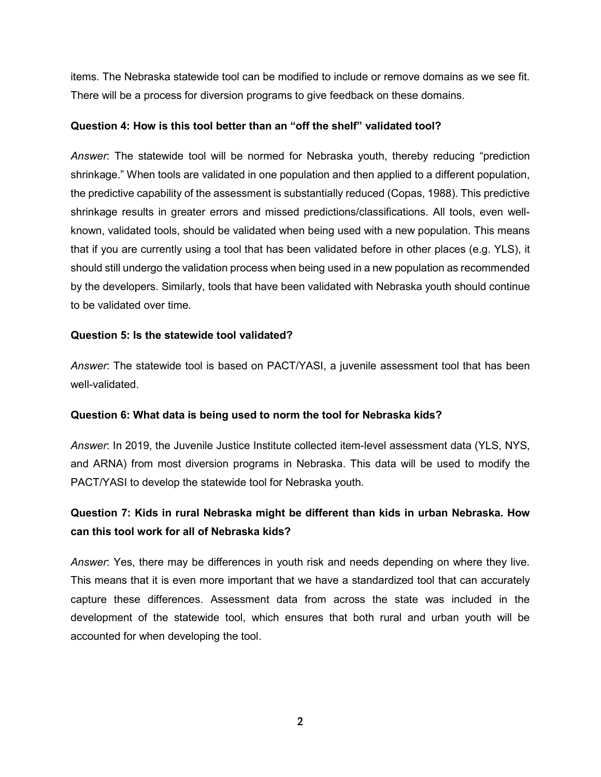items. The Nebraska statewide tool can be modified to include or remove domains as we see fit. There will be a process for diversion programs to give feedback on these domains.

#### **Question 4: How is this tool better than an "off the shelf" validated tool?**

*Answer*: The statewide tool will be normed for Nebraska youth, thereby reducing "prediction shrinkage." When tools are validated in one population and then applied to a different population, the predictive capability of the assessment is substantially reduced (Copas, 1988). This predictive shrinkage results in greater errors and missed predictions/classifications. All tools, even wellknown, validated tools, should be validated when being used with a new population. This means that if you are currently using a tool that has been validated before in other places (e.g. YLS), it should still undergo the validation process when being used in a new population as recommended by the developers. Similarly, tools that have been validated with Nebraska youth should continue to be validated over time.

#### **Question 5: Is the statewide tool validated?**

*Answer*: The statewide tool is based on PACT/YASI, a juvenile assessment tool that has been well-validated.

#### **Question 6: What data is being used to norm the tool for Nebraska kids?**

*Answer*: In 2019, the Juvenile Justice Institute collected item-level assessment data (YLS, NYS, and ARNA) from most diversion programs in Nebraska. This data will be used to modify the PACT/YASI to develop the statewide tool for Nebraska youth.

### **Question 7: Kids in rural Nebraska might be different than kids in urban Nebraska. How can this tool work for all of Nebraska kids?**

*Answer*: Yes, there may be differences in youth risk and needs depending on where they live. This means that it is even more important that we have a standardized tool that can accurately capture these differences. Assessment data from across the state was included in the development of the statewide tool, which ensures that both rural and urban youth will be accounted for when developing the tool.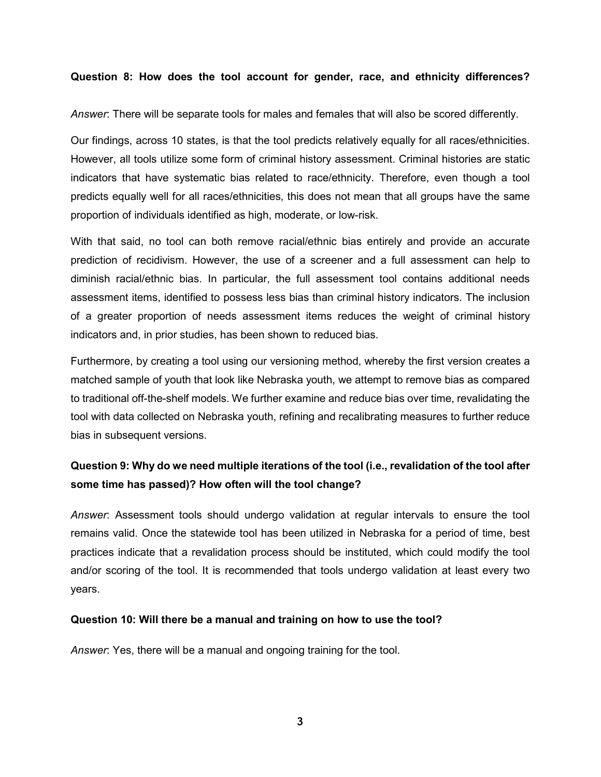#### **Question 8: How does the tool account for gender, race, and ethnicity differences?**

*Answer*: There will be separate tools for males and females that will also be scored differently.

Our findings, across 10 states, is that the tool predicts relatively equally for all races/ethnicities. However, all tools utilize some form of criminal history assessment. Criminal histories are static indicators that have systematic bias related to race/ethnicity. Therefore, even though a tool predicts equally well for all races/ethnicities, this does not mean that all groups have the same proportion of individuals identified as high, moderate, or low-risk.

With that said, no tool can both remove racial/ethnic bias entirely and provide an accurate prediction of recidivism. However, the use of a screener and a full assessment can help to diminish racial/ethnic bias. In particular, the full assessment tool contains additional needs assessment items, identified to possess less bias than criminal history indicators. The inclusion of a greater proportion of needs assessment items reduces the weight of criminal history indicators and, in prior studies, has been shown to reduced bias.

Furthermore, by creating a tool using our versioning method, whereby the first version creates a matched sample of youth that look like Nebraska youth, we attempt to remove bias as compared to traditional off-the-shelf models. We further examine and reduce bias over time, revalidating the tool with data collected on Nebraska youth, refining and recalibrating measures to further reduce bias in subsequent versions.

## **Question 9: Why do we need multiple iterations of the tool (i.e., revalidation of the tool after some time has passed)? How often will the tool change?**

*Answer*: Assessment tools should undergo validation at regular intervals to ensure the tool remains valid. Once the statewide tool has been utilized in Nebraska for a period of time, best practices indicate that a revalidation process should be instituted, which could modify the tool and/or scoring of the tool. It is recommended that tools undergo validation at least every two years.

#### **Question 10: Will there be a manual and training on how to use the tool?**

*Answer*: Yes, there will be a manual and ongoing training for the tool.